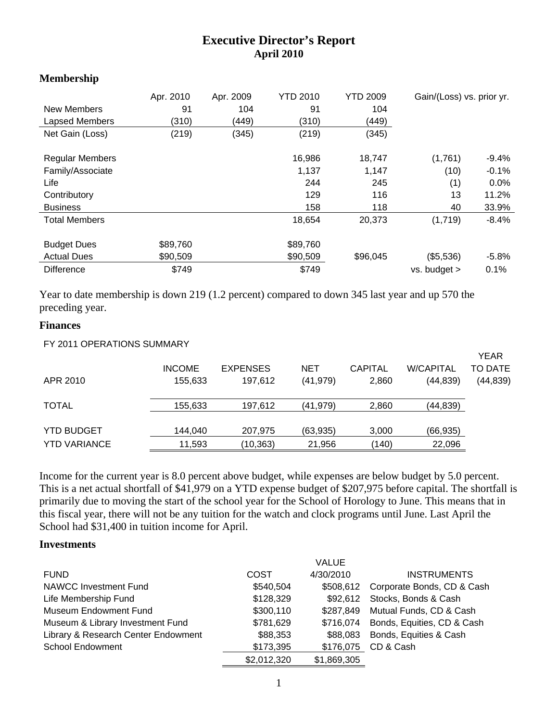# **Executive Director's Report April 2010**

#### **Membership**

| New Members<br>Lapsed Members | Apr. 2010<br>91<br>(310) | Apr. 2009<br>104<br>(449) | <b>YTD 2010</b><br>91<br>(310) | <b>YTD 2009</b><br>104<br>(449) | Gain/(Loss) vs. prior yr. |         |
|-------------------------------|--------------------------|---------------------------|--------------------------------|---------------------------------|---------------------------|---------|
| Net Gain (Loss)               | (219)                    | (345)                     | (219)                          | (345)                           |                           |         |
| <b>Regular Members</b>        |                          |                           | 16,986                         | 18,747                          | (1,761)                   | $-9.4%$ |
| Family/Associate              |                          |                           | 1,137                          | 1,147                           | (10)                      | $-0.1%$ |
| Life                          |                          |                           | 244                            | 245                             | (1)                       | 0.0%    |
| Contributory                  |                          |                           | 129                            | 116                             | 13                        | 11.2%   |
| <b>Business</b>               |                          |                           | 158                            | 118                             | 40                        | 33.9%   |
| <b>Total Members</b>          |                          |                           | 18,654                         | 20,373                          | (1,719)                   | $-8.4%$ |
| <b>Budget Dues</b>            | \$89,760                 |                           | \$89,760                       |                                 |                           |         |
| <b>Actual Dues</b>            | \$90,509                 |                           | \$90,509                       | \$96,045                        | (\$5,536)                 | $-5.8%$ |
| <b>Difference</b>             | \$749                    |                           | \$749                          |                                 | $vs.$ budget $>$          | 0.1%    |

Year to date membership is down 219 (1.2 percent) compared to down 345 last year and up 570 the preceding year.

#### **Finances**

| FY 2011 OPERATIONS SUMMARY |               |                 |           |                |                  |                        |
|----------------------------|---------------|-----------------|-----------|----------------|------------------|------------------------|
|                            | <b>INCOME</b> | <b>EXPENSES</b> | NET       | <b>CAPITAL</b> | <b>W/CAPITAL</b> | <b>YEAR</b><br>TO DATE |
| APR 2010                   | 155,633       | 197,612         | (41, 979) | 2,860          | (44, 839)        | (44, 839)              |
| <b>TOTAL</b>               | 155,633       | 197,612         | (41, 979) | 2,860          | (44, 839)        |                        |
| <b>YTD BUDGET</b>          | 144,040       | 207,975         | (63, 935) | 3,000          | (66, 935)        |                        |
| <b>YTD VARIANCE</b>        | 11,593        | (10,363)        | 21,956    | (140)          | 22,096           |                        |

Income for the current year is 8.0 percent above budget, while expenses are below budget by 5.0 percent. This is a net actual shortfall of \$41,979 on a YTD expense budget of \$207,975 before capital. The shortfall is primarily due to moving the start of the school year for the School of Horology to June. This means that in this fiscal year, there will not be any tuition for the watch and clock programs until June. Last April the School had \$31,400 in tuition income for April.

#### **Investments**

|                                     |             | <b>VALUE</b> |                            |
|-------------------------------------|-------------|--------------|----------------------------|
| <b>FUND</b>                         | COST        | 4/30/2010    | <b>INSTRUMENTS</b>         |
| <b>NAWCC Investment Fund</b>        | \$540,504   | \$508,612    | Corporate Bonds, CD & Cash |
| Life Membership Fund                | \$128,329   | \$92.612     | Stocks, Bonds & Cash       |
| <b>Museum Endowment Fund</b>        | \$300,110   | \$287.849    | Mutual Funds, CD & Cash    |
| Museum & Library Investment Fund    | \$781,629   | \$716,074    | Bonds, Equities, CD & Cash |
| Library & Research Center Endowment | \$88,353    | \$88,083     | Bonds, Equities & Cash     |
| <b>School Endowment</b>             | \$173,395   | \$176,075    | CD & Cash                  |
|                                     | \$2,012,320 | \$1,869,305  |                            |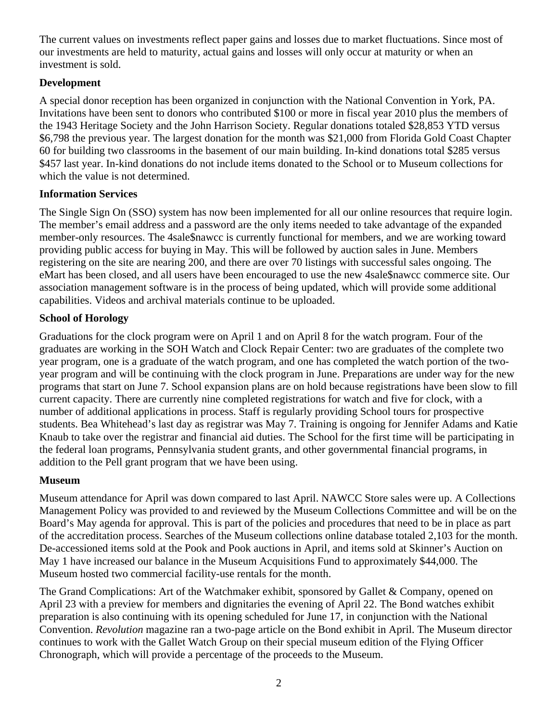The current values on investments reflect paper gains and losses due to market fluctuations. Since most of our investments are held to maturity, actual gains and losses will only occur at maturity or when an investment is sold.

# **Development**

A special donor reception has been organized in conjunction with the National Convention in York, PA. Invitations have been sent to donors who contributed \$100 or more in fiscal year 2010 plus the members of the 1943 Heritage Society and the John Harrison Society. Regular donations totaled \$28,853 YTD versus \$6,798 the previous year. The largest donation for the month was \$21,000 from Florida Gold Coast Chapter 60 for building two classrooms in the basement of our main building. In-kind donations total \$285 versus \$457 last year. In-kind donations do not include items donated to the School or to Museum collections for which the value is not determined.

### **Information Services**

The Single Sign On (SSO) system has now been implemented for all our online resources that require login. The member's email address and a password are the only items needed to take advantage of the expanded member-only resources. The 4sale\$nawcc is currently functional for members, and we are working toward providing public access for buying in May. This will be followed by auction sales in June. Members registering on the site are nearing 200, and there are over 70 listings with successful sales ongoing. The eMart has been closed, and all users have been encouraged to use the new 4sale\$nawcc commerce site. Our association management software is in the process of being updated, which will provide some additional capabilities. Videos and archival materials continue to be uploaded.

# **School of Horology**

Graduations for the clock program were on April 1 and on April 8 for the watch program. Four of the graduates are working in the SOH Watch and Clock Repair Center: two are graduates of the complete two year program, one is a graduate of the watch program, and one has completed the watch portion of the twoyear program and will be continuing with the clock program in June. Preparations are under way for the new programs that start on June 7. School expansion plans are on hold because registrations have been slow to fill current capacity. There are currently nine completed registrations for watch and five for clock, with a number of additional applications in process. Staff is regularly providing School tours for prospective students. Bea Whitehead's last day as registrar was May 7. Training is ongoing for Jennifer Adams and Katie Knaub to take over the registrar and financial aid duties. The School for the first time will be participating in the federal loan programs, Pennsylvania student grants, and other governmental financial programs, in addition to the Pell grant program that we have been using.

# **Museum**

Museum attendance for April was down compared to last April. NAWCC Store sales were up. A Collections Management Policy was provided to and reviewed by the Museum Collections Committee and will be on the Board's May agenda for approval. This is part of the policies and procedures that need to be in place as part of the accreditation process. Searches of the Museum collections online database totaled 2,103 for the month. De-accessioned items sold at the Pook and Pook auctions in April, and items sold at Skinner's Auction on May 1 have increased our balance in the Museum Acquisitions Fund to approximately \$44,000. The Museum hosted two commercial facility-use rentals for the month.

The Grand Complications: Art of the Watchmaker exhibit, sponsored by Gallet & Company, opened on April 23 with a preview for members and dignitaries the evening of April 22. The Bond watches exhibit preparation is also continuing with its opening scheduled for June 17, in conjunction with the National Convention. *Revolution* magazine ran a two-page article on the Bond exhibit in April. The Museum director continues to work with the Gallet Watch Group on their special museum edition of the Flying Officer Chronograph, which will provide a percentage of the proceeds to the Museum.